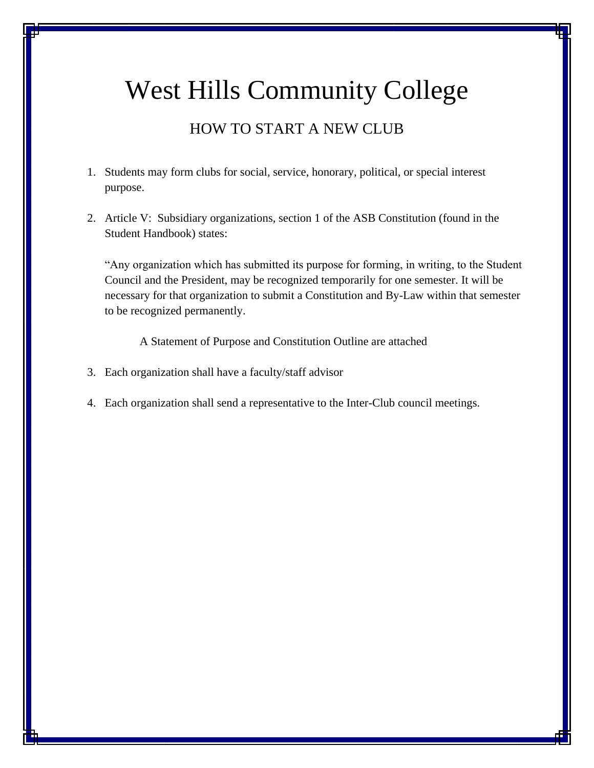# West Hills Community College

# HOW TO START A NEW CLUB

- 1. Students may form clubs for social, service, honorary, political, or special interest purpose.
- 2. Article V: Subsidiary organizations, section 1 of the ASB Constitution (found in the Student Handbook) states:

"Any organization which has submitted its purpose for forming, in writing, to the Student Council and the President, may be recognized temporarily for one semester. It will be necessary for that organization to submit a Constitution and By-Law within that semester to be recognized permanently.

A Statement of Purpose and Constitution Outline are attached

- 3. Each organization shall have a faculty/staff advisor
- 4. Each organization shall send a representative to the Inter-Club council meetings.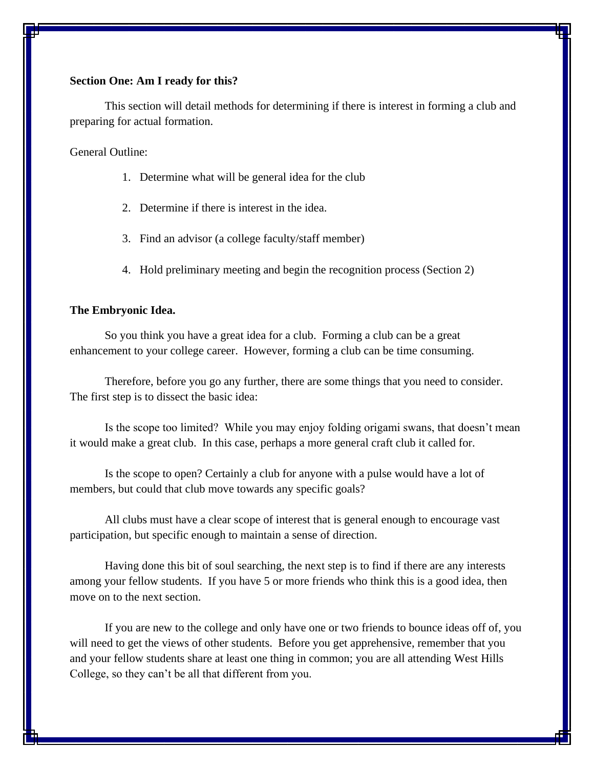#### **Section One: Am I ready for this?**

This section will detail methods for determining if there is interest in forming a club and preparing for actual formation.

General Outline:

- 1. Determine what will be general idea for the club
- 2. Determine if there is interest in the idea.
- 3. Find an advisor (a college faculty/staff member)
- 4. Hold preliminary meeting and begin the recognition process (Section 2)

#### **The Embryonic Idea.**

So you think you have a great idea for a club. Forming a club can be a great enhancement to your college career. However, forming a club can be time consuming.

Therefore, before you go any further, there are some things that you need to consider. The first step is to dissect the basic idea:

Is the scope too limited? While you may enjoy folding origami swans, that doesn't mean it would make a great club. In this case, perhaps a more general craft club it called for.

Is the scope to open? Certainly a club for anyone with a pulse would have a lot of members, but could that club move towards any specific goals?

All clubs must have a clear scope of interest that is general enough to encourage vast participation, but specific enough to maintain a sense of direction.

Having done this bit of soul searching, the next step is to find if there are any interests among your fellow students. If you have 5 or more friends who think this is a good idea, then move on to the next section.

If you are new to the college and only have one or two friends to bounce ideas off of, you will need to get the views of other students. Before you get apprehensive, remember that you and your fellow students share at least one thing in common; you are all attending West Hills College, so they can't be all that different from you.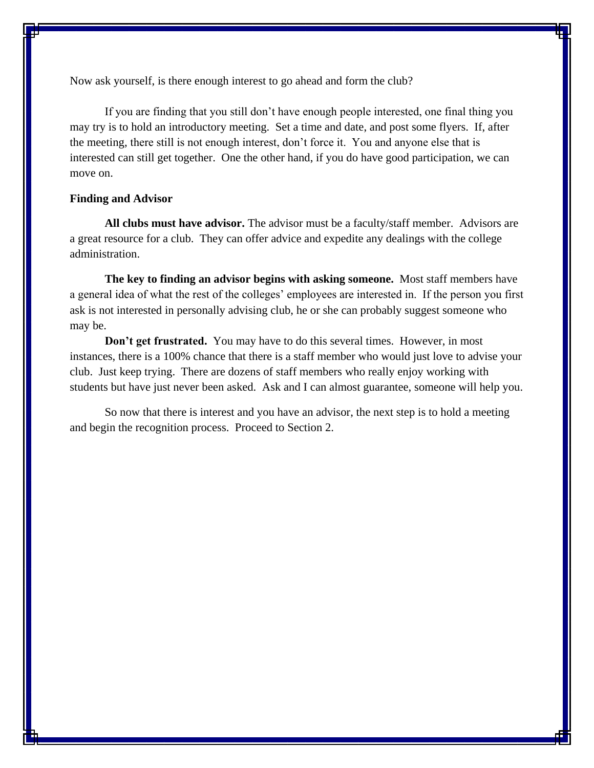Now ask yourself, is there enough interest to go ahead and form the club?

If you are finding that you still don't have enough people interested, one final thing you may try is to hold an introductory meeting. Set a time and date, and post some flyers. If, after the meeting, there still is not enough interest, don't force it. You and anyone else that is interested can still get together. One the other hand, if you do have good participation, we can move on.

#### **Finding and Advisor**

**All clubs must have advisor.** The advisor must be a faculty/staff member. Advisors are a great resource for a club. They can offer advice and expedite any dealings with the college administration.

**The key to finding an advisor begins with asking someone.** Most staff members have a general idea of what the rest of the colleges' employees are interested in. If the person you first ask is not interested in personally advising club, he or she can probably suggest someone who may be.

**Don't get frustrated.** You may have to do this several times. However, in most instances, there is a 100% chance that there is a staff member who would just love to advise your club. Just keep trying. There are dozens of staff members who really enjoy working with students but have just never been asked. Ask and I can almost guarantee, someone will help you.

So now that there is interest and you have an advisor, the next step is to hold a meeting and begin the recognition process. Proceed to Section 2.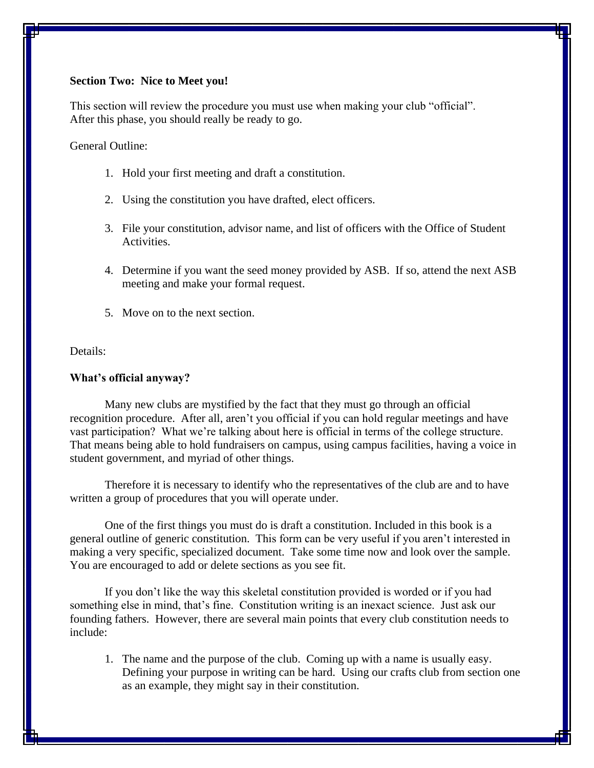#### **Section Two: Nice to Meet you!**

This section will review the procedure you must use when making your club "official". After this phase, you should really be ready to go.

General Outline:

- 1. Hold your first meeting and draft a constitution.
- 2. Using the constitution you have drafted, elect officers.
- 3. File your constitution, advisor name, and list of officers with the Office of Student Activities.
- 4. Determine if you want the seed money provided by ASB. If so, attend the next ASB meeting and make your formal request.
- 5. Move on to the next section.

Details:

#### **What's official anyway?**

Many new clubs are mystified by the fact that they must go through an official recognition procedure. After all, aren't you official if you can hold regular meetings and have vast participation? What we're talking about here is official in terms of the college structure. That means being able to hold fundraisers on campus, using campus facilities, having a voice in student government, and myriad of other things.

Therefore it is necessary to identify who the representatives of the club are and to have written a group of procedures that you will operate under.

One of the first things you must do is draft a constitution. Included in this book is a general outline of generic constitution. This form can be very useful if you aren't interested in making a very specific, specialized document. Take some time now and look over the sample. You are encouraged to add or delete sections as you see fit.

If you don't like the way this skeletal constitution provided is worded or if you had something else in mind, that's fine. Constitution writing is an inexact science. Just ask our founding fathers. However, there are several main points that every club constitution needs to include:

1. The name and the purpose of the club. Coming up with a name is usually easy. Defining your purpose in writing can be hard. Using our crafts club from section one as an example, they might say in their constitution.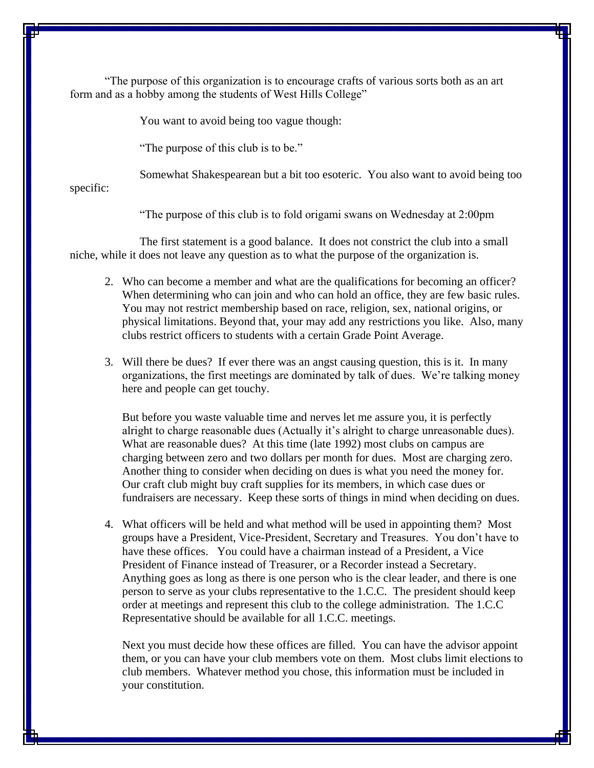"The purpose of this organization is to encourage crafts of various sorts both as an art form and as a hobby among the students of West Hills College"

You want to avoid being too vague though:

"The purpose of this club is to be."

Somewhat Shakespearean but a bit too esoteric. You also want to avoid being too

specific:

"The purpose of this club is to fold origami swans on Wednesday at 2:00pm

The first statement is a good balance. It does not constrict the club into a small niche, while it does not leave any question as to what the purpose of the organization is.

- 2. Who can become a member and what are the qualifications for becoming an officer? When determining who can join and who can hold an office, they are few basic rules. You may not restrict membership based on race, religion, sex, national origins, or physical limitations. Beyond that, your may add any restrictions you like. Also, many clubs restrict officers to students with a certain Grade Point Average.
- 3. Will there be dues? If ever there was an angst causing question, this is it. In many organizations, the first meetings are dominated by talk of dues. We're talking money here and people can get touchy.

But before you waste valuable time and nerves let me assure you, it is perfectly alright to charge reasonable dues (Actually it's alright to charge unreasonable dues). What are reasonable dues? At this time (late 1992) most clubs on campus are charging between zero and two dollars per month for dues. Most are charging zero. Another thing to consider when deciding on dues is what you need the money for. Our craft club might buy craft supplies for its members, in which case dues or fundraisers are necessary. Keep these sorts of things in mind when deciding on dues.

4. What officers will be held and what method will be used in appointing them? Most groups have a President, Vice-President, Secretary and Treasures. You don't have to have these offices. You could have a chairman instead of a President, a Vice President of Finance instead of Treasurer, or a Recorder instead a Secretary. Anything goes as long as there is one person who is the clear leader, and there is one person to serve as your clubs representative to the 1.C.C. The president should keep order at meetings and represent this club to the college administration. The 1.C.C Representative should be available for all 1.C.C. meetings.

Next you must decide how these offices are filled. You can have the advisor appoint them, or you can have your club members vote on them. Most clubs limit elections to club members. Whatever method you chose, this information must be included in your constitution.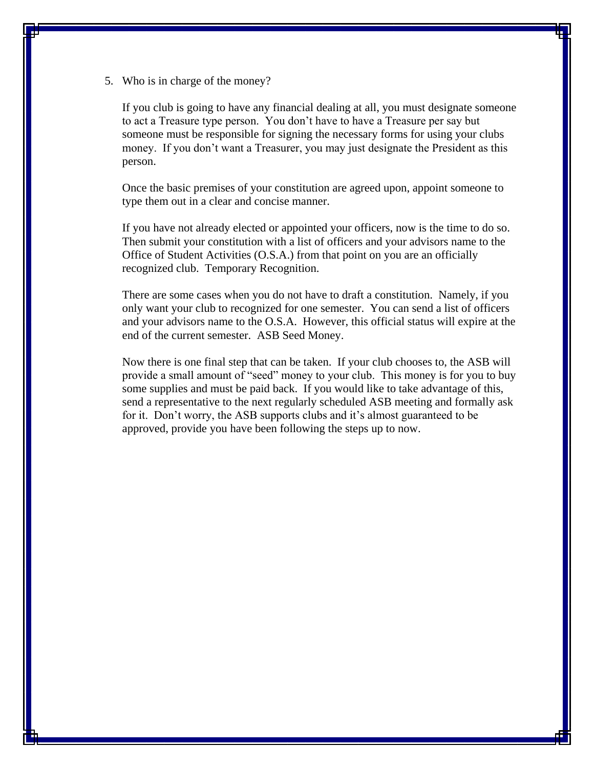5. Who is in charge of the money?

If you club is going to have any financial dealing at all, you must designate someone to act a Treasure type person. You don't have to have a Treasure per say but someone must be responsible for signing the necessary forms for using your clubs money. If you don't want a Treasurer, you may just designate the President as this person.

Once the basic premises of your constitution are agreed upon, appoint someone to type them out in a clear and concise manner.

If you have not already elected or appointed your officers, now is the time to do so. Then submit your constitution with a list of officers and your advisors name to the Office of Student Activities (O.S.A.) from that point on you are an officially recognized club. Temporary Recognition.

There are some cases when you do not have to draft a constitution. Namely, if you only want your club to recognized for one semester. You can send a list of officers and your advisors name to the O.S.A. However, this official status will expire at the end of the current semester. ASB Seed Money.

Now there is one final step that can be taken. If your club chooses to, the ASB will provide a small amount of "seed" money to your club. This money is for you to buy some supplies and must be paid back. If you would like to take advantage of this, send a representative to the next regularly scheduled ASB meeting and formally ask for it. Don't worry, the ASB supports clubs and it's almost guaranteed to be approved, provide you have been following the steps up to now.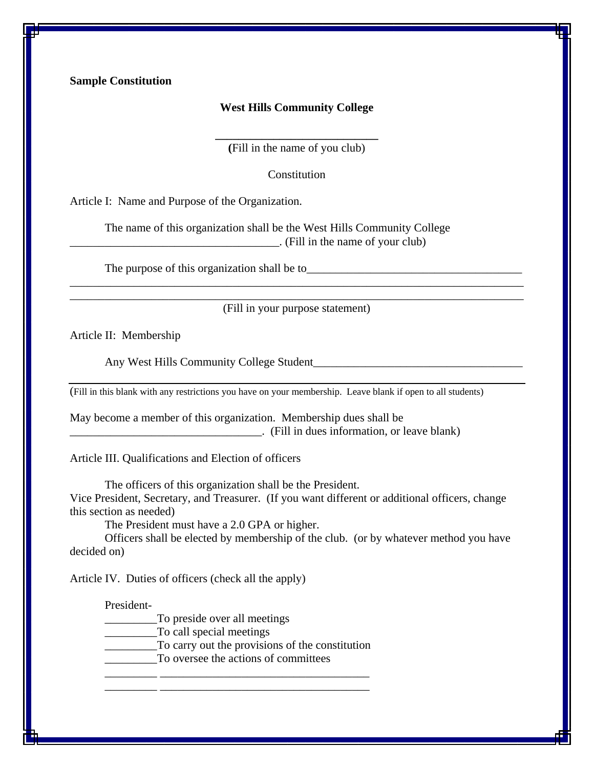**Sample Constitution**

#### **West Hills Community College**

**\_\_\_\_\_\_\_\_\_\_\_\_\_\_\_\_\_\_\_\_\_\_\_\_\_\_\_\_ (**Fill in the name of you club)

**Constitution** 

Article I: Name and Purpose of the Organization.

The name of this organization shall be the West Hills Community College \_\_\_\_\_\_\_\_\_\_\_\_\_\_\_\_\_\_\_\_\_\_\_\_\_\_\_\_\_\_\_\_\_\_\_\_. (Fill in the name of your club)

The purpose of this organization shall be to\_\_\_\_\_\_\_\_\_\_\_\_\_\_\_\_\_\_\_\_\_\_\_\_\_\_\_\_\_\_\_\_\_\_\_\_\_

\_\_\_\_\_\_\_\_\_\_\_\_\_\_\_\_\_\_\_\_\_\_\_\_\_\_\_\_\_\_\_\_\_\_\_\_\_\_\_\_\_\_\_\_\_\_\_\_\_\_\_\_\_\_\_\_\_\_\_\_\_\_\_\_\_\_\_\_\_\_\_\_\_\_\_\_\_\_ (Fill in your purpose statement)

\_\_\_\_\_\_\_\_\_\_\_\_\_\_\_\_\_\_\_\_\_\_\_\_\_\_\_\_\_\_\_\_\_\_\_\_\_\_\_\_\_\_\_\_\_\_\_\_\_\_\_\_\_\_\_\_\_\_\_\_\_\_\_\_\_\_\_\_\_\_\_\_\_\_\_\_\_\_

Article II: Membership

Any West Hills Community College Student\_\_\_\_\_\_\_\_\_\_\_\_\_\_\_\_\_\_\_\_\_\_\_\_\_\_\_\_\_\_\_\_\_\_\_\_

(Fill in this blank with any restrictions you have on your membership. Leave blank if open to all students)

May become a member of this organization. Membership dues shall be \_\_\_\_\_\_\_\_\_\_\_\_\_\_\_\_\_\_\_\_\_\_\_\_\_\_\_\_\_\_\_\_\_. (Fill in dues information, or leave blank)

Article III. Qualifications and Election of officers

The officers of this organization shall be the President. Vice President, Secretary, and Treasurer. (If you want different or additional officers, change this section as needed)

The President must have a 2.0 GPA or higher.

Officers shall be elected by membership of the club. (or by whatever method you have decided on)

Article IV. Duties of officers (check all the apply)

President-

\_\_\_\_\_\_\_\_\_To preside over all meetings

\_\_\_\_\_\_\_\_\_To call special meetings

\_\_\_\_\_\_\_\_\_To carry out the provisions of the constitution

\_\_\_\_\_\_\_\_\_ \_\_\_\_\_\_\_\_\_\_\_\_\_\_\_\_\_\_\_\_\_\_\_\_\_\_\_\_\_\_\_\_\_\_\_\_ \_\_\_\_\_\_\_\_\_ \_\_\_\_\_\_\_\_\_\_\_\_\_\_\_\_\_\_\_\_\_\_\_\_\_\_\_\_\_\_\_\_\_\_\_\_

\_\_\_\_\_\_\_\_\_To oversee the actions of committees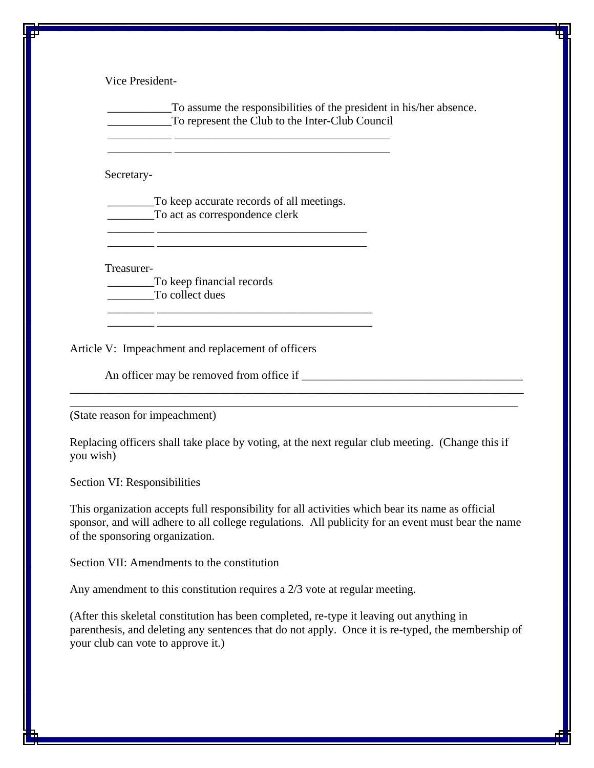Vice President-

\_\_\_\_\_\_\_\_\_\_\_To assume the responsibilities of the president in his/her absence. \_\_\_\_\_\_\_\_\_\_\_To represent the Club to the Inter-Club Council

Secretary-

To keep accurate records of all meetings. \_\_\_\_\_\_\_\_To act as correspondence clerk

\_\_\_\_\_\_\_\_ \_\_\_\_\_\_\_\_\_\_\_\_\_\_\_\_\_\_\_\_\_\_\_\_\_\_\_\_\_\_\_\_\_\_\_\_ \_\_\_\_\_\_\_\_ \_\_\_\_\_\_\_\_\_\_\_\_\_\_\_\_\_\_\_\_\_\_\_\_\_\_\_\_\_\_\_\_\_\_\_\_

 $\overline{\phantom{a}}$  , and the contract of the contract of the contract of  $\overline{\phantom{a}}$ \_\_\_\_\_\_\_\_ \_\_\_\_\_\_\_\_\_\_\_\_\_\_\_\_\_\_\_\_\_\_\_\_\_\_\_\_\_\_\_\_\_\_\_\_\_

\_\_\_\_\_\_\_\_\_\_\_ \_\_\_\_\_\_\_\_\_\_\_\_\_\_\_\_\_\_\_\_\_\_\_\_\_\_\_\_\_\_\_\_\_\_\_\_\_ \_\_\_\_\_\_\_\_\_\_\_ \_\_\_\_\_\_\_\_\_\_\_\_\_\_\_\_\_\_\_\_\_\_\_\_\_\_\_\_\_\_\_\_\_\_\_\_\_

Treasurer-

\_\_\_\_\_\_\_\_To keep financial records To collect dues

Article V: Impeachment and replacement of officers

An officer may be removed from office if

(State reason for impeachment)

Replacing officers shall take place by voting, at the next regular club meeting. (Change this if you wish)

\_\_\_\_\_\_\_\_\_\_\_\_\_\_\_\_\_\_\_\_\_\_\_\_\_\_\_\_\_\_\_\_\_\_\_\_\_\_\_\_\_\_\_\_\_\_\_\_\_\_\_\_\_\_\_\_\_\_\_\_\_\_\_\_\_\_\_\_\_\_\_\_\_\_\_\_\_\_ \_\_\_\_\_\_\_\_\_\_\_\_\_\_\_\_\_\_\_\_\_\_\_\_\_\_\_\_\_\_\_\_\_\_\_\_\_\_\_\_\_\_\_\_\_\_\_\_\_\_\_\_\_\_\_\_\_\_\_\_\_\_\_\_\_\_\_\_\_\_\_\_\_\_\_\_\_

Section VI: Responsibilities

This organization accepts full responsibility for all activities which bear its name as official sponsor, and will adhere to all college regulations. All publicity for an event must bear the name of the sponsoring organization.

Section VII: Amendments to the constitution

Any amendment to this constitution requires a 2/3 vote at regular meeting.

(After this skeletal constitution has been completed, re-type it leaving out anything in parenthesis, and deleting any sentences that do not apply. Once it is re-typed, the membership of your club can vote to approve it.)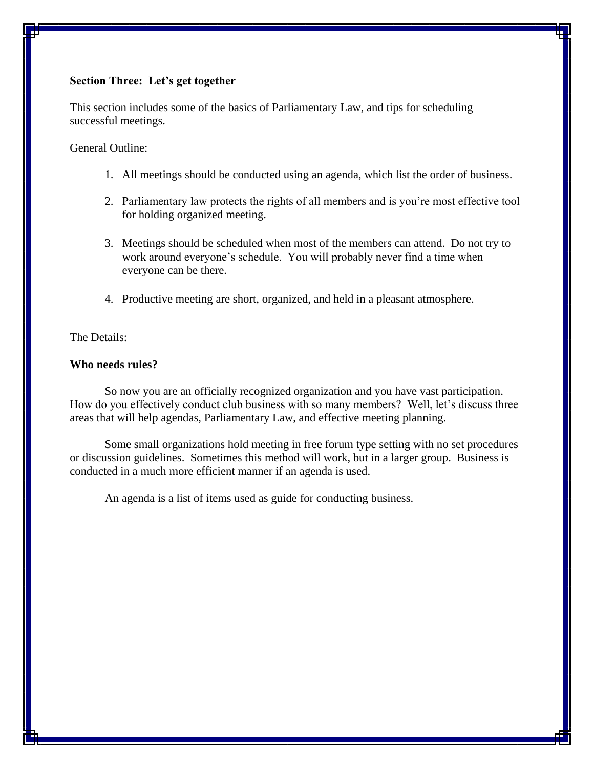#### **Section Three: Let's get together**

This section includes some of the basics of Parliamentary Law, and tips for scheduling successful meetings.

General Outline:

- 1. All meetings should be conducted using an agenda, which list the order of business.
- 2. Parliamentary law protects the rights of all members and is you're most effective tool for holding organized meeting.
- 3. Meetings should be scheduled when most of the members can attend. Do not try to work around everyone's schedule. You will probably never find a time when everyone can be there.
- 4. Productive meeting are short, organized, and held in a pleasant atmosphere.

The Details:

#### **Who needs rules?**

So now you are an officially recognized organization and you have vast participation. How do you effectively conduct club business with so many members? Well, let's discuss three areas that will help agendas, Parliamentary Law, and effective meeting planning.

Some small organizations hold meeting in free forum type setting with no set procedures or discussion guidelines. Sometimes this method will work, but in a larger group. Business is conducted in a much more efficient manner if an agenda is used.

An agenda is a list of items used as guide for conducting business.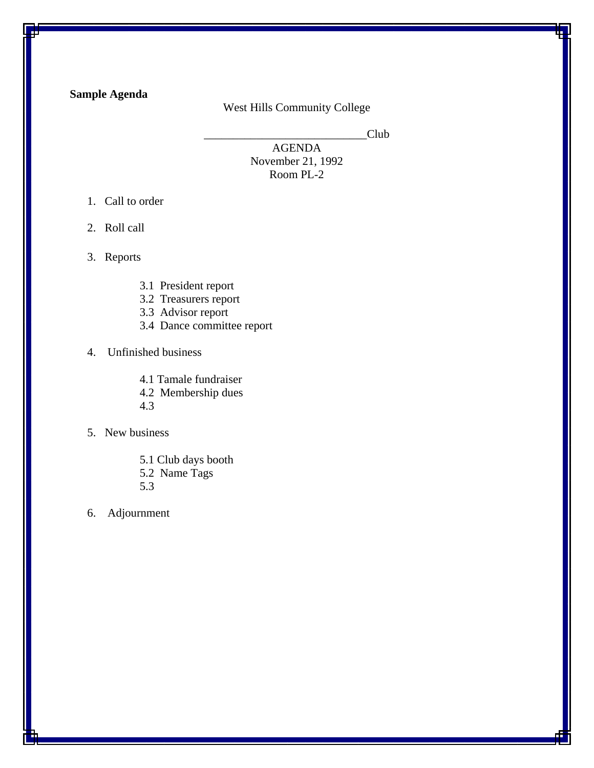# **Sample Agenda**

### West Hills Community College

Club

AGENDA November 21, 1992 Room PL-2

- 1. Call to order
- 2. Roll call
- 3. Reports
	- 3.1 President report
	- 3.2 Treasurers report
	- 3.3 Advisor report
	- 3.4 Dance committee report

## 4. Unfinished business

- 4.1 Tamale fundraiser
- 4.2 Membership dues
- 4.3
- 5. New business
	- 5.1 Club days booth 5.2 Name Tags
	- 5.3
- 6. Adjournment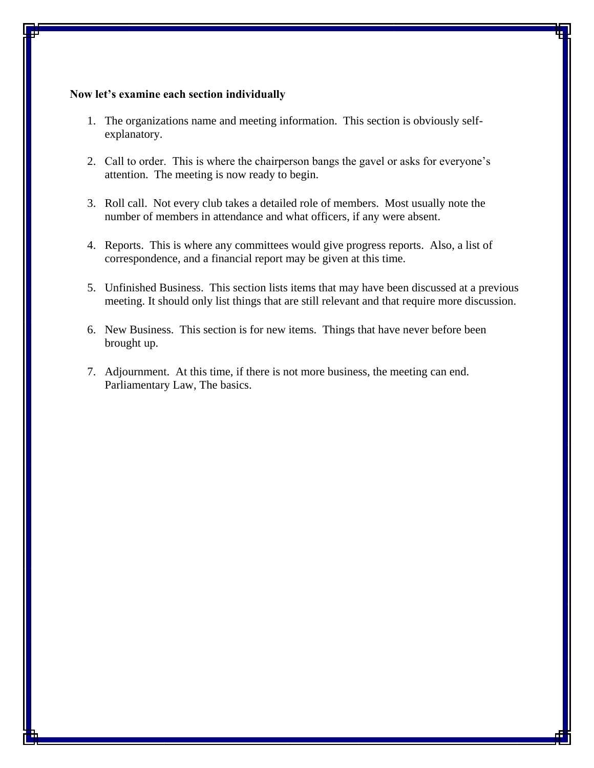#### **Now let's examine each section individually**

- 1. The organizations name and meeting information. This section is obviously selfexplanatory.
- 2. Call to order. This is where the chairperson bangs the gavel or asks for everyone's attention. The meeting is now ready to begin.
- 3. Roll call. Not every club takes a detailed role of members. Most usually note the number of members in attendance and what officers, if any were absent.
- 4. Reports. This is where any committees would give progress reports. Also, a list of correspondence, and a financial report may be given at this time.
- 5. Unfinished Business. This section lists items that may have been discussed at a previous meeting. It should only list things that are still relevant and that require more discussion.
- 6. New Business. This section is for new items. Things that have never before been brought up.
- 7. Adjournment. At this time, if there is not more business, the meeting can end. Parliamentary Law, The basics.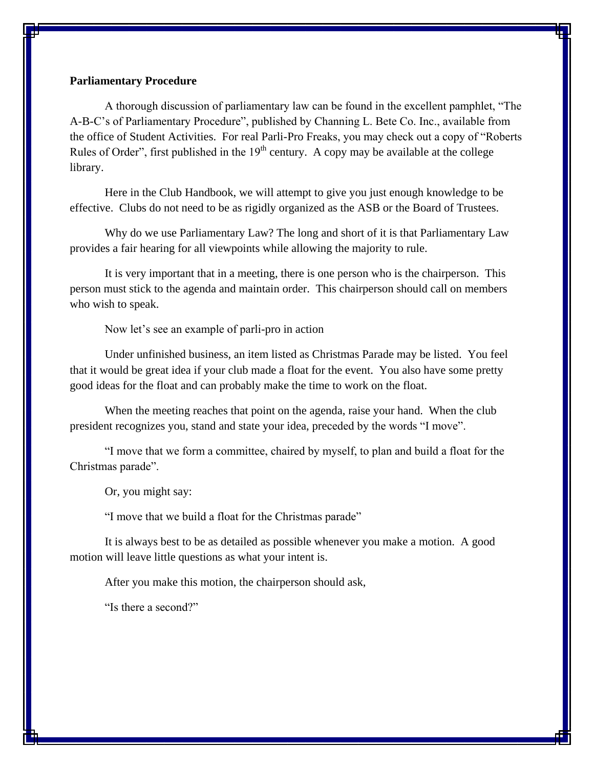#### **Parliamentary Procedure**

A thorough discussion of parliamentary law can be found in the excellent pamphlet, "The A-B-C's of Parliamentary Procedure", published by Channing L. Bete Co. Inc., available from the office of Student Activities. For real Parli-Pro Freaks, you may check out a copy of "Roberts Rules of Order", first published in the  $19<sup>th</sup>$  century. A copy may be available at the college library.

Here in the Club Handbook, we will attempt to give you just enough knowledge to be effective. Clubs do not need to be as rigidly organized as the ASB or the Board of Trustees.

Why do we use Parliamentary Law? The long and short of it is that Parliamentary Law provides a fair hearing for all viewpoints while allowing the majority to rule.

It is very important that in a meeting, there is one person who is the chairperson. This person must stick to the agenda and maintain order. This chairperson should call on members who wish to speak.

Now let's see an example of parli-pro in action

Under unfinished business, an item listed as Christmas Parade may be listed. You feel that it would be great idea if your club made a float for the event. You also have some pretty good ideas for the float and can probably make the time to work on the float.

When the meeting reaches that point on the agenda, raise your hand. When the club president recognizes you, stand and state your idea, preceded by the words "I move".

"I move that we form a committee, chaired by myself, to plan and build a float for the Christmas parade".

Or, you might say:

"I move that we build a float for the Christmas parade"

It is always best to be as detailed as possible whenever you make a motion. A good motion will leave little questions as what your intent is.

After you make this motion, the chairperson should ask,

"Is there a second?"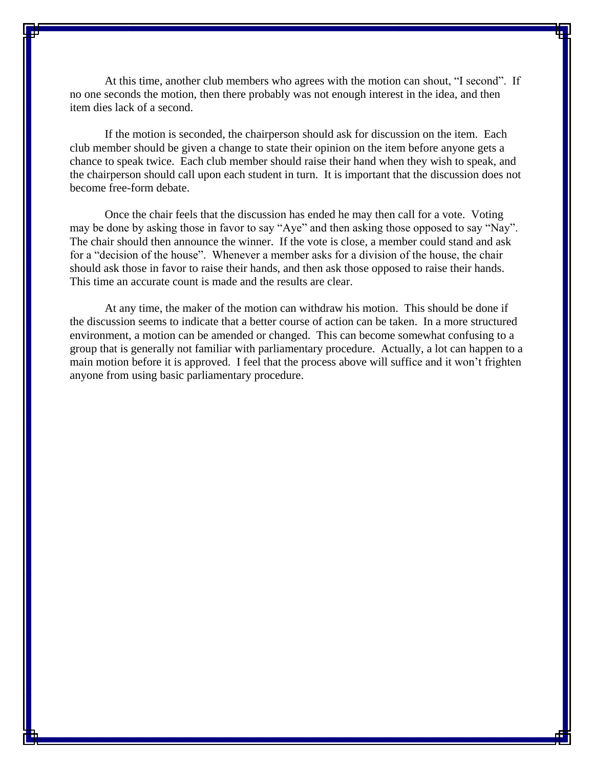At this time, another club members who agrees with the motion can shout, "I second". If no one seconds the motion, then there probably was not enough interest in the idea, and then item dies lack of a second.

If the motion is seconded, the chairperson should ask for discussion on the item. Each club member should be given a change to state their opinion on the item before anyone gets a chance to speak twice. Each club member should raise their hand when they wish to speak, and the chairperson should call upon each student in turn. It is important that the discussion does not become free-form debate.

Once the chair feels that the discussion has ended he may then call for a vote. Voting may be done by asking those in favor to say "Aye" and then asking those opposed to say "Nay". The chair should then announce the winner. If the vote is close, a member could stand and ask for a "decision of the house". Whenever a member asks for a division of the house, the chair should ask those in favor to raise their hands, and then ask those opposed to raise their hands. This time an accurate count is made and the results are clear.

At any time, the maker of the motion can withdraw his motion. This should be done if the discussion seems to indicate that a better course of action can be taken. In a more structured environment, a motion can be amended or changed. This can become somewhat confusing to a group that is generally not familiar with parliamentary procedure. Actually, a lot can happen to a main motion before it is approved. I feel that the process above will suffice and it won't frighten anyone from using basic parliamentary procedure.